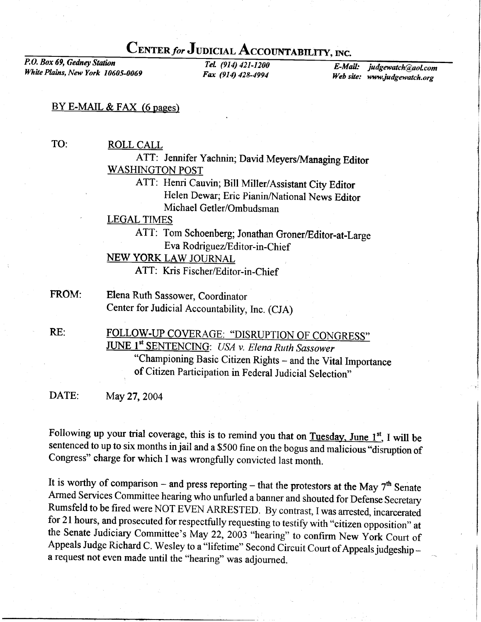## CENTER for JUDICIAL ACCOUNTABILITY, INC.

P.O. Box 69, Gedney Station White Plains, New York 10605-0069

TeL (914) 421-1200 Fax (914) 428-4994

E-Mail: judgewatch@aol.com Web site: www.judgewatch.org

## BY E-MAIL & FAX (6 pages)

TO:

ROLL CALL

ATT: Jennifer Yachnin; David Meyers/Managing Editor WASHINGTON POST

> ATT: Henri Cauvin; Bill Miller/Assistant City Editor Helen Dewar; Eric Pianin/National News Editor Michael Getler/Ombudsman

LEGAL TIMES

ATT: Tom Schoenberg; Jonathan Groner/Editor-at-Large Eva Rodriguez/Editor-in-Chief

NEW YORK LAW JOURNAL

ATT: Kris Fischer/Editor-in-Chief

Elena Ruth Sassower, Coordinator Center for Judicial Accountability, Inc. (CJA) FROM:

FOLLOW-UP COVERAGE: "DISRUPTION OF CONGRESS" JUNE 1st SENTENCING: USA v. Elena Ruth Sassower "championing Basic citizen Rights - and the Vital Importance of citizen Participation in Federal Judicial Selection" RE:

DATE: May 27, 2004

Following up your trial coverage, this is to remind you that on Tuesday, June  $1^{st}$ , I will be sentenced to up to six months in jail and a \$500 fine on the bogus and malicious "disruption of Congress" charge for which I

It is worthy of comparison – and press reporting – that the protestors at the May  $7<sup>th</sup>$  Senate<br>Armed Services Committee hearing who unfurled a banner and shouted for Defense Secretary<br>Rumsfeld to be fired were NOT EV the Senate Judiciary Committee's May 22, 2003 "hearing" to confirm New York Court of Appeals Judge Richard C. Wesley to a "lifetime" Second Circuit Court of Appeals judgeship a request not even made until the "hearing" was adjourned.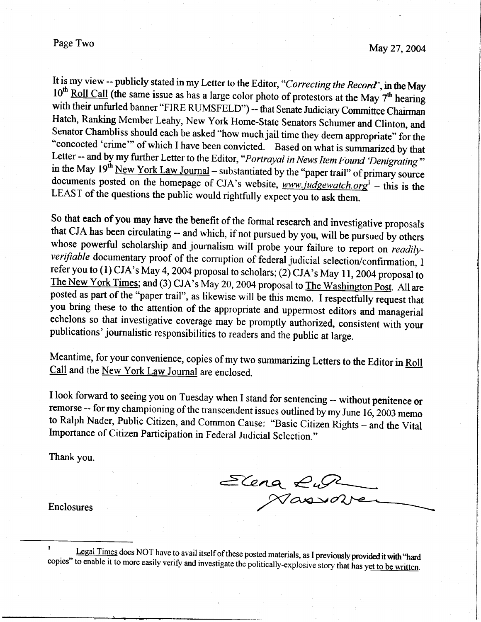It is my view -- publicly stated in my Letter to the Editor, "Correcting the Record", in the May  $10^{th}$  Roll Call (the same issue as has a large color photo of protestors at the May 7<sup>th</sup> hearing with their unfurled banner "FIRE RUMSFELD") -- that Senate Judiciary Committee Chairman Hatch, Ranking Member Leahy, New York Home-State Senators Schumer and Clinton, and Senator Chambliss should each be asked "how much ja "concocted 'crime'" of which I have been convicted. Based on what is summarized by that<br>Letter -- and by my further Letter to the Editor, "*Portrayal in News Item Found 'Denigrating*"<br>in the May 19<sup>th</sup> <u>New York Law Journa</u> documents posted on the homepage of CJA's website,  $www.judgewatch.org<sup>1</sup> - this is the LEAST of the questions the public would rightfully expect you to ask them.$ 

So that each of you may have the benefit of the formal research and investigative proposals that CJA has been circulating -- and which, if not pursued by you, will be pursued by others whose powerful scholarship and journalism will probe your failure to report on *readily-*<br>verifiable documentary proof of the corruption of federal judicial selection/confirmation, I<br>refer you to (1) CJA's May 4, 2004 prop The New York Times; and (3) CJA's May 20, 2004 proposal to The Washington Post. All are posted as part of the "paper trail", as likewise will be this memo. I respectfully request that you bring these to the attention of the appropriate and uppermost editors and managerial echelons so that investigative coverage may be promptly authorized, consistent with your publications' journalistic responsibilities to readers and the public at large.

Meantime, for your convenience, copies of my two summarizing Letters to the Editor in Roll Call and the New York Law Journal are enclosed.

I look forward to seeing you on Tuesday when I stand for sentencing -- without penitence or remorse -- for my championing of the transcendent issues outlined by my June 16, 2003 memo to Ralph Nader, Public Citizen, and Common Cause: "Basic Citizen Rights - and the Vital<br>Importance of Citizen Participation in Federal Judicial Selection."

Thank you.

Elena Ruy

Enclosures

<sup>&</sup>lt;sup>1</sup> Legal Times does NOT have to avail itself of these posted materials, as I previously provided it with "hard copies" to enable it to more easily verify and investigate the politically-explosive story that has yet to be written.